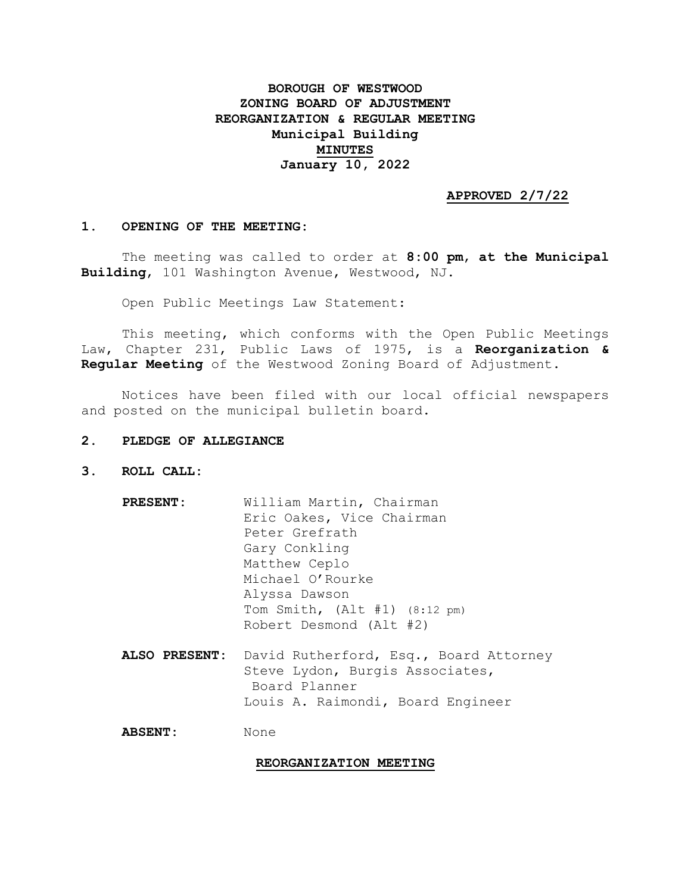# **BOROUGH OF WESTWOOD ZONING BOARD OF ADJUSTMENT REORGANIZATION & REGULAR MEETING Municipal Building MINUTES January 10, 2022**

## **APPROVED 2/7/22**

### **1. OPENING OF THE MEETING:**

The meeting was called to order at **8:00 pm**, **at the Municipal Building**, 101 Washington Avenue, Westwood, NJ.

Open Public Meetings Law Statement:

This meeting, which conforms with the Open Public Meetings Law, Chapter 231, Public Laws of 1975, is a **Reorganization & Regular Meeting** of the Westwood Zoning Board of Adjustment.

Notices have been filed with our local official newspapers and posted on the municipal bulletin board.

- **2. PLEDGE OF ALLEGIANCE**
- **3. ROLL CALL:**
	- **PRESENT:** William Martin, Chairman Eric Oakes, Vice Chairman Peter Grefrath Gary Conkling Matthew Ceplo Michael O'Rourke Alyssa Dawson Tom Smith, (Alt #1) (8:12 pm) Robert Desmond (Alt #2) **ALSO PRESENT:** David Rutherford, Esq., Board Attorney Steve Lydon, Burgis Associates, Board Planner Louis A. Raimondi, Board Engineer

**ABSENT:** None

### **REORGANIZATION MEETING**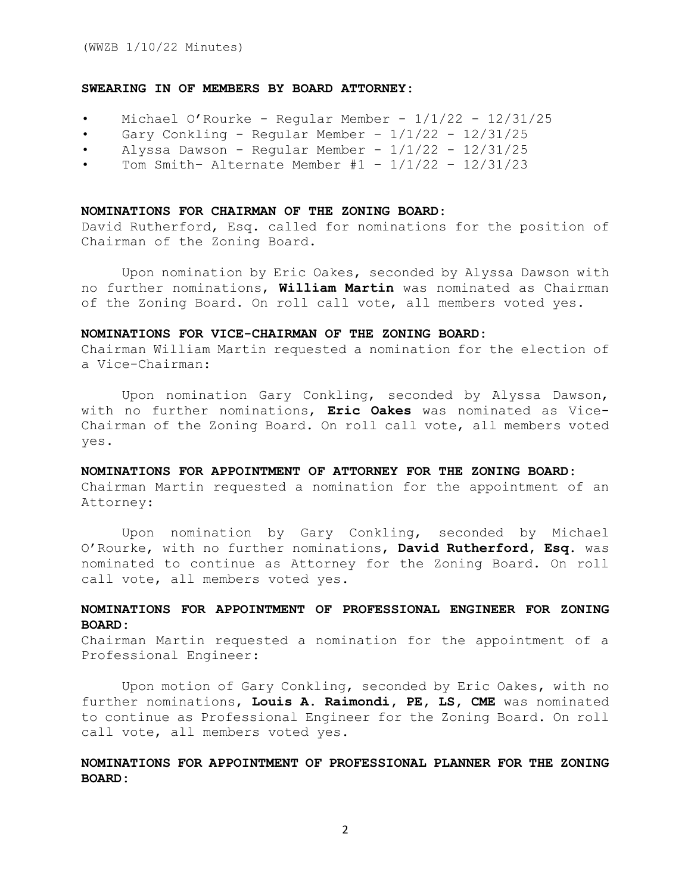## **SWEARING IN OF MEMBERS BY BOARD ATTORNEY:**

- Michael O'Rourke Regular Member 1/1/22 12/31/25
- Gary Conkling Regular Member  $1/1/22$   $12/31/25$
- Alyssa Dawson Regular Member  $1/1/22$   $12/31/25$
- Tom Smith- Alternate Member  $#1 \frac{1}{1/22} \frac{12}{31/23}$

### **NOMINATIONS FOR CHAIRMAN OF THE ZONING BOARD:**

David Rutherford, Esq. called for nominations for the position of Chairman of the Zoning Board.

Upon nomination by Eric Oakes, seconded by Alyssa Dawson with no further nominations, **William Martin** was nominated as Chairman of the Zoning Board. On roll call vote, all members voted yes.

### **NOMINATIONS FOR VICE-CHAIRMAN OF THE ZONING BOARD:**

Chairman William Martin requested a nomination for the election of a Vice-Chairman:

Upon nomination Gary Conkling, seconded by Alyssa Dawson, with no further nominations, **Eric Oakes** was nominated as Vice-Chairman of the Zoning Board. On roll call vote, all members voted yes.

## **NOMINATIONS FOR APPOINTMENT OF ATTORNEY FOR THE ZONING BOARD:**

Chairman Martin requested a nomination for the appointment of an Attorney:

Upon nomination by Gary Conkling, seconded by Michael O'Rourke, with no further nominations, **David Rutherford, Esq**. was nominated to continue as Attorney for the Zoning Board. On roll call vote, all members voted yes.

## **NOMINATIONS FOR APPOINTMENT OF PROFESSIONAL ENGINEER FOR ZONING BOARD:**

Chairman Martin requested a nomination for the appointment of a Professional Engineer:

Upon motion of Gary Conkling, seconded by Eric Oakes, with no further nominations, **Louis A. Raimondi, PE, LS, CME** was nominated to continue as Professional Engineer for the Zoning Board. On roll call vote, all members voted yes.

## **NOMINATIONS FOR APPOINTMENT OF PROFESSIONAL PLANNER FOR THE ZONING BOARD:**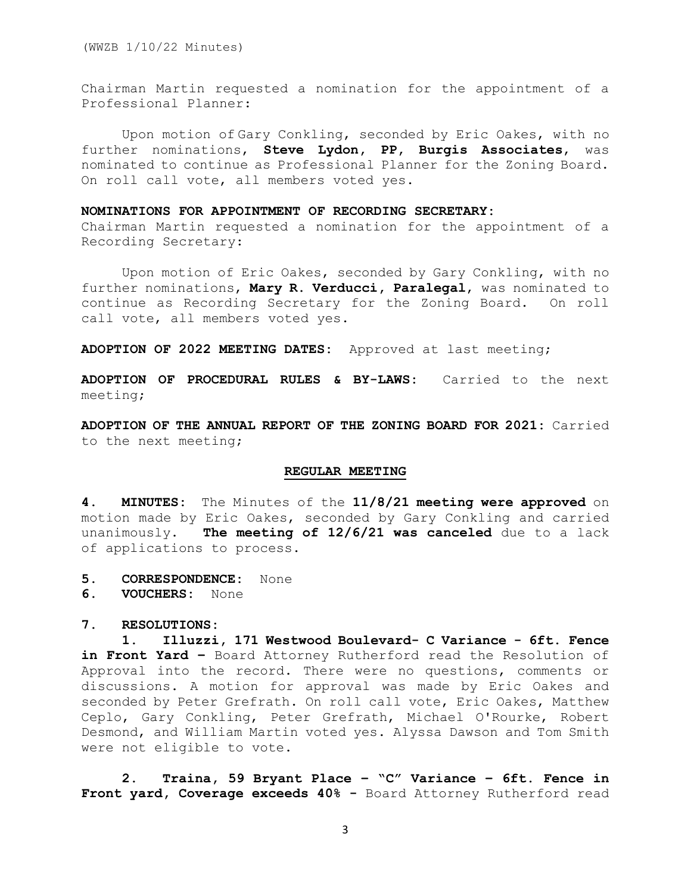Chairman Martin requested a nomination for the appointment of a Professional Planner:

Upon motion of Gary Conkling, seconded by Eric Oakes, with no further nominations, **Steve Lydon, PP, Burgis Associates**, was nominated to continue as Professional Planner for the Zoning Board. On roll call vote, all members voted yes.

## **NOMINATIONS FOR APPOINTMENT OF RECORDING SECRETARY:**

Chairman Martin requested a nomination for the appointment of a Recording Secretary:

 Upon motion of Eric Oakes, seconded by Gary Conkling, with no further nominations, **Mary R. Verducci, Paralegal**, was nominated to continue as Recording Secretary for the Zoning Board. On roll call vote, all members voted yes.

**ADOPTION OF 2022 MEETING DATES:** Approved at last meeting;

**ADOPTION OF PROCEDURAL RULES & BY-LAWS:** Carried to the next meeting;

**ADOPTION OF THE ANNUAL REPORT OF THE ZONING BOARD FOR 2021:** Carried to the next meeting;

### **REGULAR MEETING**

**4. MINUTES:** The Minutes of the **11/8/21 meeting were approved** on motion made by Eric Oakes, seconded by Gary Conkling and carried unanimously. **The meeting of 12/6/21 was canceled** due to a lack of applications to process.

- **5. CORRESPONDENCE:** None
- **6. VOUCHERS:** None

#### **7. RESOLUTIONS:**

**1. Illuzzi, 171 Westwood Boulevard- C Variance - 6ft. Fence in Front Yard –** Board Attorney Rutherford read the Resolution of Approval into the record. There were no questions, comments or discussions. A motion for approval was made by Eric Oakes and seconded by Peter Grefrath. On roll call vote, Eric Oakes, Matthew Ceplo, Gary Conkling, Peter Grefrath, Michael O'Rourke, Robert Desmond, and William Martin voted yes. Alyssa Dawson and Tom Smith were not eligible to vote.

**2. Traina, 59 Bryant Place – "C" Variance – 6ft. Fence in Front yard, Coverage exceeds 40% -** Board Attorney Rutherford read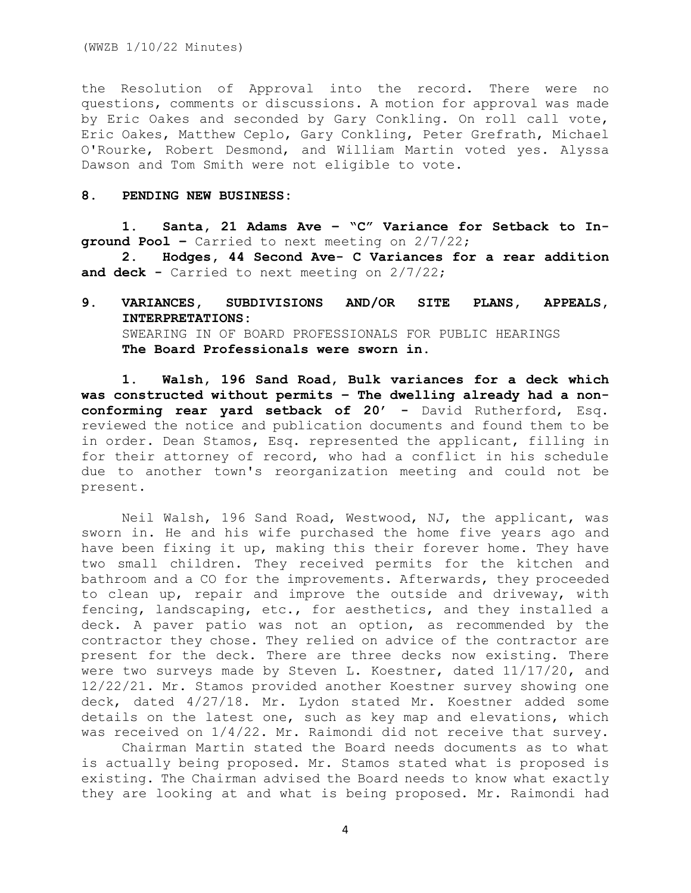the Resolution of Approval into the record. There were no questions, comments or discussions. A motion for approval was made by Eric Oakes and seconded by Gary Conkling. On roll call vote, Eric Oakes, Matthew Ceplo, Gary Conkling, Peter Grefrath, Michael O'Rourke, Robert Desmond, and William Martin voted yes. Alyssa Dawson and Tom Smith were not eligible to vote.

## **8. PENDING NEW BUSINESS:**

**1. Santa, 21 Adams Ave – "C" Variance for Setback to Inground Pool –** Carried to next meeting on 2/7/22;

**2. Hodges, 44 Second Ave- C Variances for a rear addition and deck -** Carried to next meeting on 2/7/22;

# **9. VARIANCES, SUBDIVISIONS AND/OR SITE PLANS, APPEALS, INTERPRETATIONS:** SWEARING IN OF BOARD PROFESSIONALS FOR PUBLIC HEARINGS **The Board Professionals were sworn in.**

**1. Walsh, 196 Sand Road, Bulk variances for a deck which was constructed without permits – The dwelling already had a nonconforming rear yard setback of 20' -** David Rutherford, Esq. reviewed the notice and publication documents and found them to be in order. Dean Stamos, Esq. represented the applicant, filling in for their attorney of record, who had a conflict in his schedule due to another town's reorganization meeting and could not be present.

Neil Walsh, 196 Sand Road, Westwood, NJ, the applicant, was sworn in. He and his wife purchased the home five years ago and have been fixing it up, making this their forever home. They have two small children. They received permits for the kitchen and bathroom and a CO for the improvements. Afterwards, they proceeded to clean up, repair and improve the outside and driveway, with fencing, landscaping, etc., for aesthetics, and they installed a deck. A paver patio was not an option, as recommended by the contractor they chose. They relied on advice of the contractor are present for the deck. There are three decks now existing. There were two surveys made by Steven L. Koestner, dated 11/17/20, and 12/22/21. Mr. Stamos provided another Koestner survey showing one deck, dated 4/27/18. Mr. Lydon stated Mr. Koestner added some details on the latest one, such as key map and elevations, which was received on 1/4/22. Mr. Raimondi did not receive that survey.

Chairman Martin stated the Board needs documents as to what is actually being proposed. Mr. Stamos stated what is proposed is existing. The Chairman advised the Board needs to know what exactly they are looking at and what is being proposed. Mr. Raimondi had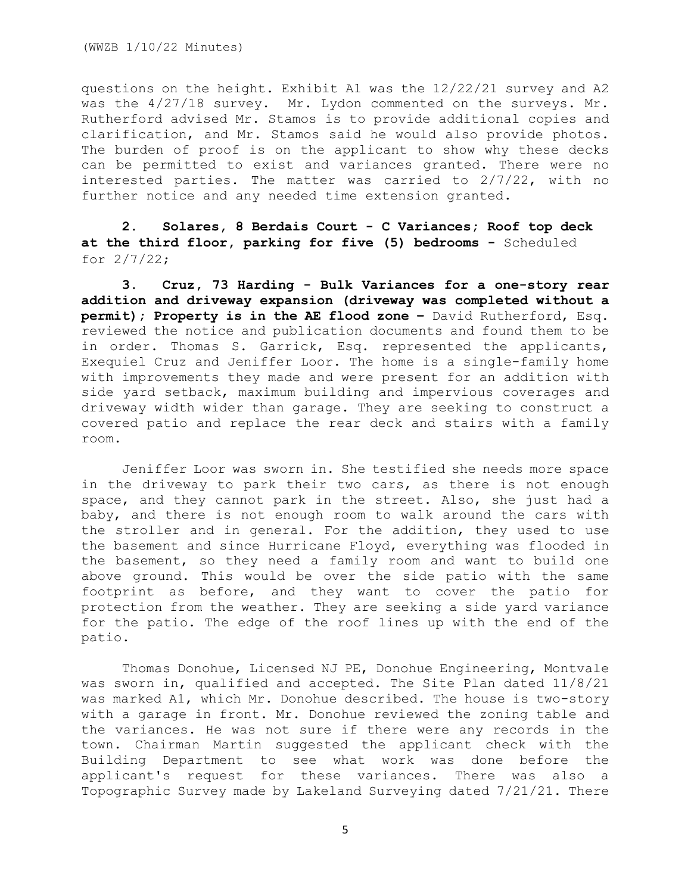questions on the height. Exhibit A1 was the 12/22/21 survey and A2 was the 4/27/18 survey. Mr. Lydon commented on the surveys. Mr. Rutherford advised Mr. Stamos is to provide additional copies and clarification, and Mr. Stamos said he would also provide photos. The burden of proof is on the applicant to show why these decks can be permitted to exist and variances granted. There were no interested parties. The matter was carried to 2/7/22, with no further notice and any needed time extension granted.

**2. Solares, 8 Berdais Court - C Variances; Roof top deck at the third floor, parking for five (5) bedrooms -** Scheduled for 2/7/22;

**3. Cruz, 73 Harding - Bulk Variances for a one-story rear addition and driveway expansion (driveway was completed without a permit); Property is in the AE flood zone –** David Rutherford, Esq. reviewed the notice and publication documents and found them to be in order. Thomas S. Garrick, Esq. represented the applicants, Exequiel Cruz and Jeniffer Loor. The home is a single-family home with improvements they made and were present for an addition with side yard setback, maximum building and impervious coverages and driveway width wider than garage. They are seeking to construct a covered patio and replace the rear deck and stairs with a family room.

Jeniffer Loor was sworn in. She testified she needs more space in the driveway to park their two cars, as there is not enough space, and they cannot park in the street. Also, she just had a baby, and there is not enough room to walk around the cars with the stroller and in general. For the addition, they used to use the basement and since Hurricane Floyd, everything was flooded in the basement, so they need a family room and want to build one above ground. This would be over the side patio with the same footprint as before, and they want to cover the patio for protection from the weather. They are seeking a side yard variance for the patio. The edge of the roof lines up with the end of the patio.

Thomas Donohue, Licensed NJ PE, Donohue Engineering, Montvale was sworn in, qualified and accepted. The Site Plan dated 11/8/21 was marked A1, which Mr. Donohue described. The house is two-story with a garage in front. Mr. Donohue reviewed the zoning table and the variances. He was not sure if there were any records in the town. Chairman Martin suggested the applicant check with the Building Department to see what work was done before the applicant's request for these variances. There was also a Topographic Survey made by Lakeland Surveying dated 7/21/21. There

5